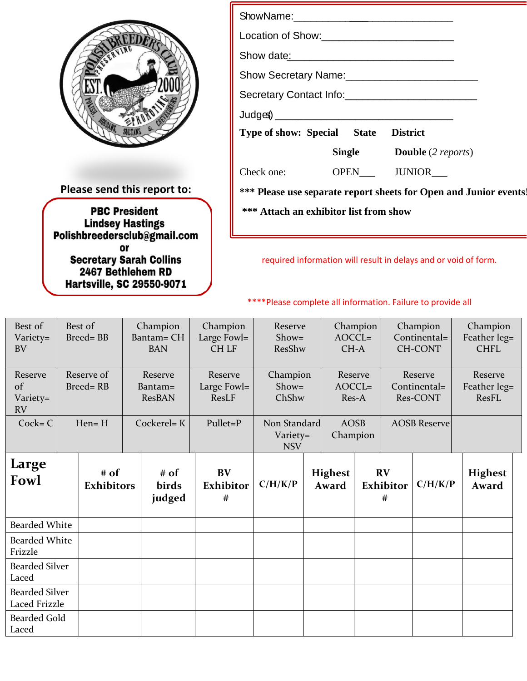

**Please send this report to:**

**PBC President** 

**Lindsey Hastings<br>Polishbreedersclub@gmail.com**<br>or

Secretary Sarah Collins 2467 Bethlehem RD **Hartsville, SC 29550-9071** 

| <b>Type of show: Special State District</b>                       |  |  |  |  |  |  |  |  |  |  |
|-------------------------------------------------------------------|--|--|--|--|--|--|--|--|--|--|
| <b>Single Double</b> (2 <i>reports</i> )                          |  |  |  |  |  |  |  |  |  |  |
| Check one: OPEN JUNIOR                                            |  |  |  |  |  |  |  |  |  |  |
| *** Please use separate report sheets for Open and Junior events! |  |  |  |  |  |  |  |  |  |  |
| *** Attach an exhibitor list from show                            |  |  |  |  |  |  |  |  |  |  |

required information will result in delays and or void of form.

## \*\*\*\*Please complete all information. Failure to provide all

| Best of<br>Variety=<br><b>BV</b>       | Best of<br><b>Breed=BB</b>    | Champion<br><b>Bantam= CH</b><br><b>BAN</b> | Champion<br>Large Fowl=<br><b>CHLF</b> | Reserve<br>$Show =$<br>ResShw          | $AOCCL=$<br>CH-A             | Champion |                         | Champion<br>Continental=<br><b>CH-CONT</b> | Champion<br>Feather leg=<br><b>CHFL</b> |
|----------------------------------------|-------------------------------|---------------------------------------------|----------------------------------------|----------------------------------------|------------------------------|----------|-------------------------|--------------------------------------------|-----------------------------------------|
| Reserve<br>of<br>Variety=<br><b>RV</b> | Reserve of<br><b>Breed=RB</b> | Reserve<br>Bantam=<br><b>ResBAN</b>         | Reserve<br>Large Fowl=<br>ResLF        | Champion<br>$Show =$<br>ChShw          | Reserve<br>$AOCCL=$<br>Res-A |          |                         | Reserve<br>Continental=<br>Res-CONT        | Reserve<br>Feather leg=<br>ResFL        |
| $Cock = C$                             | $Hen = H$                     | Cockerel= K                                 | Pullet=P                               | Non Standard<br>Variety=<br><b>NSV</b> | <b>AOSB</b><br>Champion      |          |                         | <b>AOSB Reserve</b>                        |                                         |
| Large<br>Fowl                          | # of<br><b>Exhibitors</b>     | # of<br>birds<br>judged                     | <b>BV</b><br><b>Exhibitor</b><br>$\#$  | C/H/K/P                                | <b>Highest</b><br>Award      |          | RV<br>Exhibitor<br>$\#$ | C/H/K/P                                    | <b>Highest</b><br>Award                 |
| <b>Bearded White</b>                   |                               |                                             |                                        |                                        |                              |          |                         |                                            |                                         |
| <b>Bearded White</b><br>Frizzle        |                               |                                             |                                        |                                        |                              |          |                         |                                            |                                         |
| <b>Bearded Silver</b><br>Laced         |                               |                                             |                                        |                                        |                              |          |                         |                                            |                                         |
| <b>Bearded Silver</b><br>Laced Frizzle |                               |                                             |                                        |                                        |                              |          |                         |                                            |                                         |
| <b>Bearded Gold</b><br>Laced           |                               |                                             |                                        |                                        |                              |          |                         |                                            |                                         |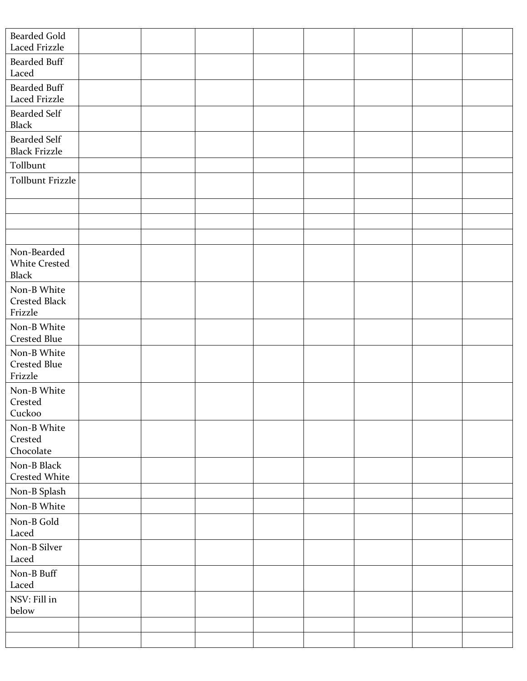| <b>Bearded Gold</b><br>Laced Frizzle                |  |  |  |  |
|-----------------------------------------------------|--|--|--|--|
| <b>Bearded Buff</b><br>Laced                        |  |  |  |  |
| <b>Bearded Buff</b><br>Laced Frizzle                |  |  |  |  |
| <b>Bearded Self</b><br><b>Black</b>                 |  |  |  |  |
| <b>Bearded Self</b><br><b>Black Frizzle</b>         |  |  |  |  |
| Tollbunt                                            |  |  |  |  |
| <b>Tollbunt Frizzle</b>                             |  |  |  |  |
|                                                     |  |  |  |  |
|                                                     |  |  |  |  |
|                                                     |  |  |  |  |
| Non-Bearded<br><b>White Crested</b><br><b>Black</b> |  |  |  |  |
| Non-B White<br><b>Crested Black</b><br>Frizzle      |  |  |  |  |
| Non-B White<br><b>Crested Blue</b>                  |  |  |  |  |
| Non-B White<br><b>Crested Blue</b><br>Frizzle       |  |  |  |  |
| Non-B White<br>Crested<br>Cuckoo                    |  |  |  |  |
| Non-B White<br>Crested<br>Chocolate                 |  |  |  |  |
| Non-B Black<br><b>Crested White</b>                 |  |  |  |  |
| Non-B Splash                                        |  |  |  |  |
| Non-B White                                         |  |  |  |  |
| Non-B Gold<br>Laced                                 |  |  |  |  |
| Non-B Silver<br>Laced                               |  |  |  |  |
| Non-B Buff<br>Laced                                 |  |  |  |  |
| NSV: Fill in<br>below                               |  |  |  |  |
|                                                     |  |  |  |  |
|                                                     |  |  |  |  |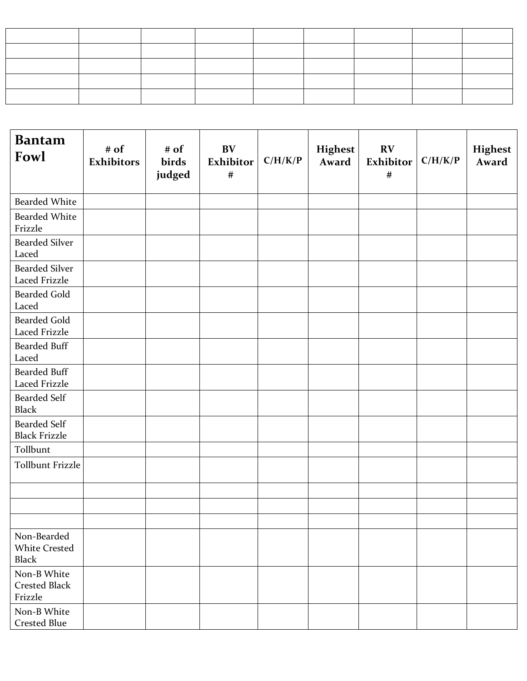| <b>Bantam</b><br>Fowl                               | # of<br><b>Exhibitors</b> | # of<br>birds<br>judged | BV<br>Exhibitor<br>$\#$ | C/H/K/P | <b>Highest</b><br>Award | RV<br>Exhibitor<br>$\#$ | C/H/K/P | <b>Highest</b><br>Award |
|-----------------------------------------------------|---------------------------|-------------------------|-------------------------|---------|-------------------------|-------------------------|---------|-------------------------|
| <b>Bearded White</b>                                |                           |                         |                         |         |                         |                         |         |                         |
| <b>Bearded White</b><br>Frizzle                     |                           |                         |                         |         |                         |                         |         |                         |
| <b>Bearded Silver</b><br>Laced                      |                           |                         |                         |         |                         |                         |         |                         |
| <b>Bearded Silver</b><br>Laced Frizzle              |                           |                         |                         |         |                         |                         |         |                         |
| <b>Bearded Gold</b><br>Laced                        |                           |                         |                         |         |                         |                         |         |                         |
| <b>Bearded Gold</b><br>Laced Frizzle                |                           |                         |                         |         |                         |                         |         |                         |
| <b>Bearded Buff</b><br>Laced                        |                           |                         |                         |         |                         |                         |         |                         |
| <b>Bearded Buff</b><br>Laced Frizzle                |                           |                         |                         |         |                         |                         |         |                         |
| <b>Bearded Self</b><br><b>Black</b>                 |                           |                         |                         |         |                         |                         |         |                         |
| <b>Bearded Self</b><br><b>Black Frizzle</b>         |                           |                         |                         |         |                         |                         |         |                         |
| Tollbunt                                            |                           |                         |                         |         |                         |                         |         |                         |
| <b>Tollbunt Frizzle</b>                             |                           |                         |                         |         |                         |                         |         |                         |
|                                                     |                           |                         |                         |         |                         |                         |         |                         |
|                                                     |                           |                         |                         |         |                         |                         |         |                         |
|                                                     |                           |                         |                         |         |                         |                         |         |                         |
| Non-Bearded<br><b>White Crested</b><br><b>Black</b> |                           |                         |                         |         |                         |                         |         |                         |
| Non-B White<br><b>Crested Black</b><br>Frizzle      |                           |                         |                         |         |                         |                         |         |                         |
| Non-B White<br><b>Crested Blue</b>                  |                           |                         |                         |         |                         |                         |         |                         |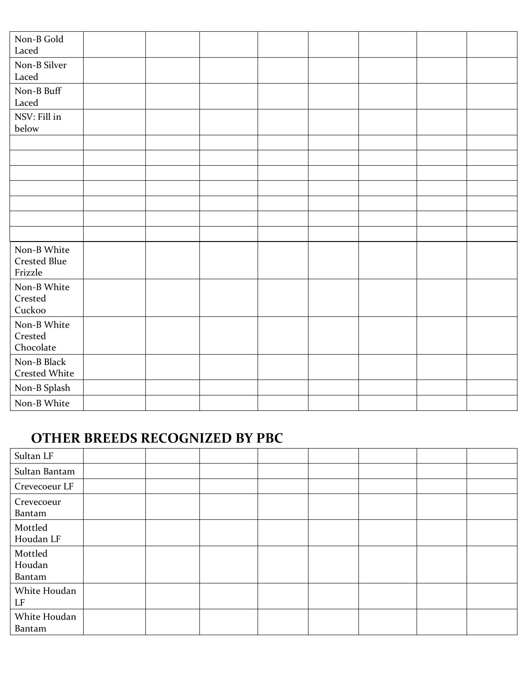| Non-B Gold<br>Laced                           |  |  |  |  |
|-----------------------------------------------|--|--|--|--|
| Non-B Silver<br>Laced                         |  |  |  |  |
| Non-B Buff<br>Laced                           |  |  |  |  |
| NSV: Fill in<br>below                         |  |  |  |  |
|                                               |  |  |  |  |
|                                               |  |  |  |  |
|                                               |  |  |  |  |
|                                               |  |  |  |  |
|                                               |  |  |  |  |
|                                               |  |  |  |  |
|                                               |  |  |  |  |
| Non-B White<br><b>Crested Blue</b><br>Frizzle |  |  |  |  |
| Non-B White<br>Crested<br>Cuckoo              |  |  |  |  |
| Non-B White<br>Crested<br>Chocolate           |  |  |  |  |
| Non-B Black<br>Crested White                  |  |  |  |  |
| Non-B Splash                                  |  |  |  |  |
| Non-B White                                   |  |  |  |  |

## **OTHER BREEDS RECOGNIZED BY PBC**

| Sultan LF                   |  |  |  |  |
|-----------------------------|--|--|--|--|
| Sultan Bantam               |  |  |  |  |
| Crevecoeur LF               |  |  |  |  |
| Crevecoeur<br>Bantam        |  |  |  |  |
| Mottled<br>Houdan LF        |  |  |  |  |
| Mottled<br>Houdan<br>Bantam |  |  |  |  |
| White Houdan<br>LF          |  |  |  |  |
| White Houdan<br>Bantam      |  |  |  |  |